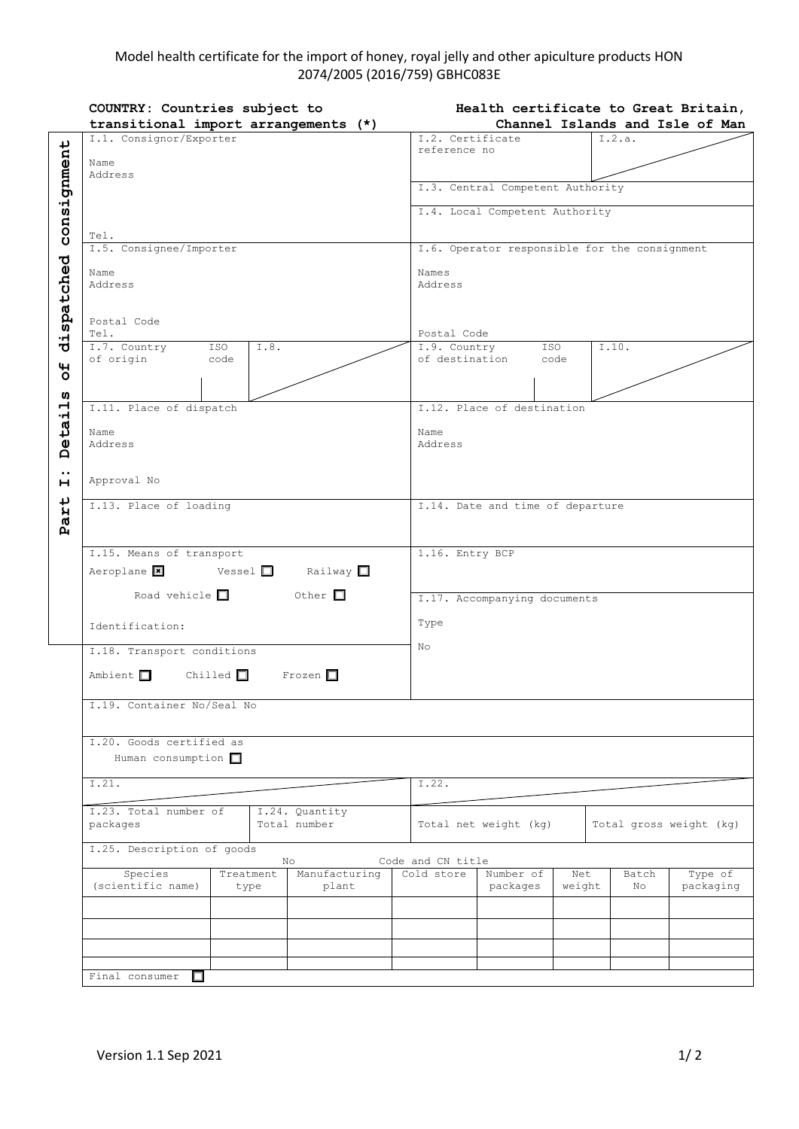## Model health certificate for the import of honey, royal jelly and other apiculture products HON 2074/2005 (2016/759) GBHC083E

|                  | COUNTRY: Countries subject to                                 | Health certificate to Great Britain,                      |  |  |  |
|------------------|---------------------------------------------------------------|-----------------------------------------------------------|--|--|--|
|                  | transitional import arrangements (*)                          | Channel Islands and Isle of Man                           |  |  |  |
|                  | I.1. Consignor/Exporter                                       | I.2. Certificate<br>I.2.a.                                |  |  |  |
| consignment      |                                                               | reference no                                              |  |  |  |
|                  | Name<br>Address                                               |                                                           |  |  |  |
|                  |                                                               | I.3. Central Competent Authority                          |  |  |  |
|                  |                                                               |                                                           |  |  |  |
|                  |                                                               | I.4. Local Competent Authority                            |  |  |  |
|                  |                                                               |                                                           |  |  |  |
|                  | Tel.                                                          |                                                           |  |  |  |
|                  | I.5. Consignee/Importer                                       | I.6. Operator responsible for the consignment             |  |  |  |
|                  | Name                                                          | Names                                                     |  |  |  |
|                  | Address                                                       | Address                                                   |  |  |  |
|                  |                                                               |                                                           |  |  |  |
|                  |                                                               |                                                           |  |  |  |
|                  | Postal Code                                                   |                                                           |  |  |  |
| dispatched       | Tel.                                                          | Postal Code                                               |  |  |  |
|                  | I.7. Country<br>ISO<br>I.8.                                   | I.9. Country<br>I.10.<br>ISO                              |  |  |  |
| $\mathbf{u}$     | of origin<br>code                                             | of destination<br>code                                    |  |  |  |
| O                |                                                               |                                                           |  |  |  |
| w                |                                                               |                                                           |  |  |  |
|                  | I.11. Place of dispatch                                       | I.12. Place of destination                                |  |  |  |
| etail            |                                                               |                                                           |  |  |  |
|                  | Name                                                          | Name                                                      |  |  |  |
| Ă                | Address                                                       | Address                                                   |  |  |  |
|                  |                                                               |                                                           |  |  |  |
| $\bullet$ .<br>н | Approval No                                                   |                                                           |  |  |  |
|                  |                                                               |                                                           |  |  |  |
| Part             | I.13. Place of loading                                        | I.14. Date and time of departure                          |  |  |  |
|                  |                                                               |                                                           |  |  |  |
|                  |                                                               |                                                           |  |  |  |
|                  | I.15. Means of transport                                      | 1.16. Entry BCP                                           |  |  |  |
|                  |                                                               |                                                           |  |  |  |
|                  | Aeroplane $\vert x \vert$ Vessel $\vert$<br>Railway $\square$ |                                                           |  |  |  |
|                  | Road vehicle $\Box$<br>Other $\square$                        | I.17. Accompanying documents                              |  |  |  |
|                  |                                                               |                                                           |  |  |  |
|                  | Identification:                                               | Type                                                      |  |  |  |
|                  |                                                               |                                                           |  |  |  |
|                  | I.18. Transport conditions                                    | No                                                        |  |  |  |
|                  | Ambient $\Box$ Chilled $\Box$ Frozen $\Box$                   |                                                           |  |  |  |
|                  |                                                               |                                                           |  |  |  |
|                  |                                                               |                                                           |  |  |  |
|                  | I.19. Container No/Seal No                                    |                                                           |  |  |  |
|                  |                                                               |                                                           |  |  |  |
|                  | I.20. Goods certified as                                      |                                                           |  |  |  |
|                  |                                                               |                                                           |  |  |  |
|                  | Human consumption $\square$                                   |                                                           |  |  |  |
|                  | I.21.                                                         | I.22.                                                     |  |  |  |
|                  |                                                               |                                                           |  |  |  |
|                  | I.23. Total number of<br>I.24. Quantity                       |                                                           |  |  |  |
|                  | Total number<br>packages                                      | Total net weight (kg)<br>Total gross weight (kg)          |  |  |  |
|                  |                                                               |                                                           |  |  |  |
|                  | I.25. Description of goods                                    |                                                           |  |  |  |
|                  | No<br>Manufacturing<br>Treatment                              | Code and CN title<br>Number of<br>Cold store<br>Net       |  |  |  |
|                  | Species<br>(scientific name)<br>plant<br>type                 | Type of<br>Batch<br>packages<br>weight<br>No<br>packaging |  |  |  |
|                  |                                                               |                                                           |  |  |  |
|                  |                                                               |                                                           |  |  |  |
|                  |                                                               |                                                           |  |  |  |
|                  |                                                               |                                                           |  |  |  |
|                  |                                                               |                                                           |  |  |  |
|                  |                                                               |                                                           |  |  |  |
|                  | Final consumer<br>□                                           |                                                           |  |  |  |